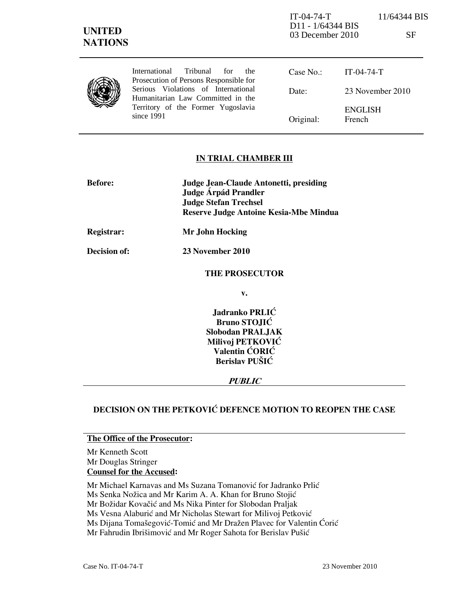IT-04-74-T 11/64344 BIS D11 - 1/64344 BIS 03 December 2010 SF

|  | International Tribunal<br>for<br>the<br>Prosecution of Persons Responsible for | Case No.  | $IT-04-74-T$             |
|--|--------------------------------------------------------------------------------|-----------|--------------------------|
|  | Serious Violations of International<br>Humanitarian Law Committed in the       | Date:     | 23 November 2010         |
|  | Territory of the Former Yugoslavia<br>since 1991                               | Original: | <b>ENGLISH</b><br>French |

## IN TRIAL CHAMBER III

| <b>Before:</b> | Judge Jean-Claude Antonetti, presiding<br>Judge Árpád Prandler<br><b>Judge Stefan Trechsel</b><br>Reserve Judge Antoine Kesia-Mbe Mindua |
|----------------|------------------------------------------------------------------------------------------------------------------------------------------|
| Registrar:     | Mr John Hocking                                                                                                                          |

Decision of: 23 November 2010

### THE PROSECUTOR

v.

Jadranko PRLIĆ Bruno STOJIĆ Slobodan PRALJAK Milivoj PETKOVIĆ Valentin ĆORIĆ Berislav PUŠIĆ

### PUBLIC

# DECISION ON THE PETKOVIĆ DEFENCE MOTION TO REOPEN THE CASE

### The Office of the Prosecutor:

Mr Kenneth Scott Mr Douglas Stringer Counsel for the Accused:

Mr Michael Karnavas and Ms Suzana Tomanović for Jadranko Prlić

Ms Senka Nožica and Mr Karim A. A. Khan for Bruno Stojić

Mr Božidar Kovačić and Ms Nika Pinter for Slobodan Praljak

Ms Vesna Alaburić and Mr Nicholas Stewart for Milivoj Petković

Ms Dijana Tomašegović-Tomić and Mr Dražen Plavec for Valentin Ćorić

Mr Fahrudin Ibrišimović and Mr Roger Sahota for Berislav Pušić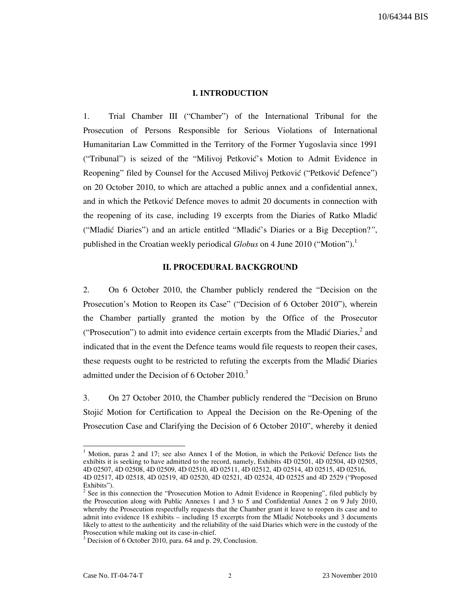#### **I. INTRODUCTION**

1. Trial Chamber III ("Chamber") of the International Tribunal for the Prosecution of Persons Responsible for Serious Violations of International Humanitarian Law Committed in the Territory of the Former Yugoslavia since 1991 ("Tribunal") is seized of the "Milivoj Petković's Motion to Admit Evidence in Reopening" filed by Counsel for the Accused Milivoj Petković ("Petković Defence") on 20 October 2010, to which are attached a public annex and a confidential annex, and in which the Petković Defence moves to admit 20 documents in connection with the reopening of its case, including 19 excerpts from the Diaries of Ratko Mladić ("Mladić Diaries") and an article entitled "Mladić's Diaries or a Big Deception?", published in the Croatian weekly periodical Globus on 4 June 2010 ("Motion").<sup>1</sup>

#### II. PROCEDURAL BACKGROUND

2. On 6 October 2010, the Chamber publicly rendered the "Decision on the Prosecution's Motion to Reopen its Case" ("Decision of 6 October 2010"), wherein the Chamber partially granted the motion by the Office of the Prosecutor ("Prosecution") to admit into evidence certain excerpts from the Mladić Diaries, $^2$  and indicated that in the event the Defence teams would file requests to reopen their cases, these requests ought to be restricted to refuting the excerpts from the Mladić Diaries admitted under the Decision of  $6$  October 2010.<sup>3</sup>

3. On 27 October 2010, the Chamber publicly rendered the "Decision on Bruno Stojić Motion for Certification to Appeal the Decision on the Re-Opening of the Prosecution Case and Clarifying the Decision of 6 October 2010", whereby it denied

 $1$  Motion, paras 2 and 17; see also Annex I of the Motion, in which the Petković Defence lists the exhibits it is seeking to have admitted to the record, namely, Exhibits 4D 02501, 4D 02504, 4D 02505, 4D 02507, 4D 02508, 4D 02509, 4D 02510, 4D 02511, 4D 02512, 4D 02514, 4D 02515, 4D 02516, 4D 02517, 4D 02518, 4D 02519, 4D 02520, 4D 02521, 4D 02524, 4D 02525 and 4D 2529 ("Proposed Exhibits").

<sup>2</sup> See in this connection the "Prosecution Motion to Admit Evidence in Reopening", filed publicly by the Prosecution along with Public Annexes 1 and 3 to 5 and Confidential Annex 2 on 9 July 2010, whereby the Prosecution respectfully requests that the Chamber grant it leave to reopen its case and to admit into evidence 18 exhibits – including 15 excerpts from the Mladić Notebooks and 3 documents likely to attest to the authenticity and the reliability of the said Diaries which were in the custody of the Prosecution while making out its case-in-chief.

<sup>&</sup>lt;sup>3</sup> Decision of 6 October 2010, para. 64 and p. 29, Conclusion.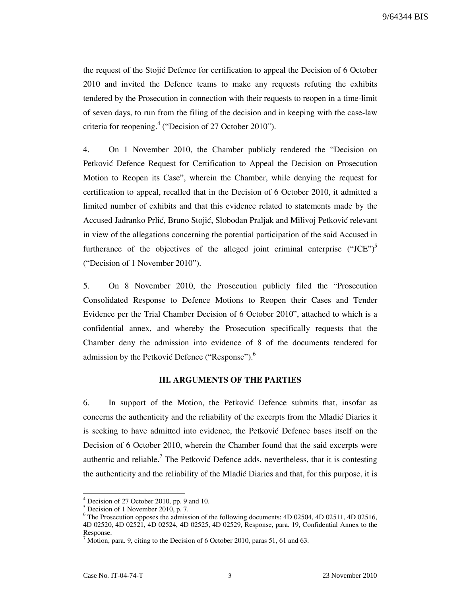the request of the Stojic Defence for certification to appeal the Decision of 6 October 2010 and invited the Defence teams to make any requests refuting the exhibits tendered by the Prosecution in connection with their requests to reopen in a time-limit of seven days, to run from the filing of the decision and in keeping with the case-law criteria for reopening.<sup>4</sup> ("Decision of 27 October 2010").

4. On 1 November 2010, the Chamber publicly rendered the "Decision on Petković Defence Request for Certification to Appeal the Decision on Prosecution Motion to Reopen its Case", wherein the Chamber, while denying the request for certification to appeal, recalled that in the Decision of 6 October 2010, it admitted a limited number of exhibits and that this evidence related to statements made by the Accused Jadranko Prlić, Bruno Stojić, Slobodan Praljak and Milivoj Petković relevant in view of the allegations concerning the potential participation of the said Accused in furtherance of the objectives of the alleged joint criminal enterprise  $("JCE")^5$ ("Decision of 1 November 2010").

5. On 8 November 2010, the Prosecution publicly filed the "Prosecution Consolidated Response to Defence Motions to Reopen their Cases and Tender Evidence per the Trial Chamber Decision of 6 October 2010", attached to which is a confidential annex, and whereby the Prosecution specifically requests that the Chamber deny the admission into evidence of 8 of the documents tendered for admission by the Petković Defence ("Response").<sup>6</sup>

#### III. ARGUMENTS OF THE PARTIES

6. In support of the Motion, the Petkovic Defence submits that, insofar as concerns the authenticity and the reliability of the excerpts from the Mladić Diaries it is seeking to have admitted into evidence, the Petković Defence bases itself on the Decision of 6 October 2010, wherein the Chamber found that the said excerpts were authentic and reliable.<sup>7</sup> The Petković Defence adds, nevertheless, that it is contesting the authenticity and the reliability of the Mladić Diaries and that, for this purpose, it is

 4 Decision of 27 October 2010, pp. 9 and 10.

<sup>5</sup> Decision of 1 November 2010, p. 7.

<sup>&</sup>lt;sup>6</sup> The Prosecution opposes the admission of the following documents: 4D 02504, 4D 02511, 4D 02516, 4D 02520, 4D 02521, 4D 02524, 4D 02525, 4D 02529, Response, para. 19, Confidential Annex to the Response.

<sup>&</sup>lt;sup>7</sup> Motion, para. 9, citing to the Decision of 6 October 2010, paras 51, 61 and 63.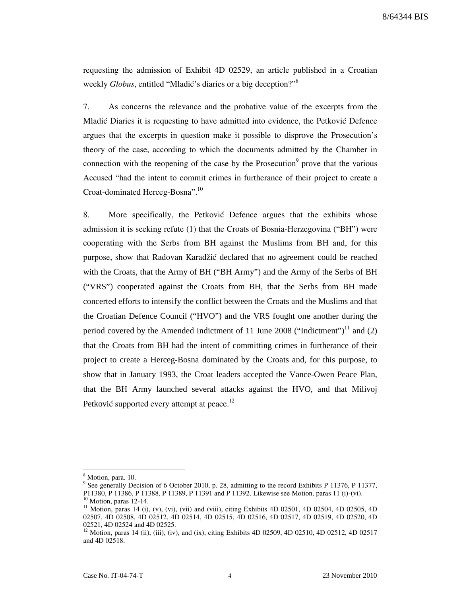requesting the admission of Exhibit 4D 02529, an article published in a Croatian weekly Globus, entitled "Mladić's diaries or a big deception?"<sup>8</sup>

7. As concerns the relevance and the probative value of the excerpts from the Mladić Diaries it is requesting to have admitted into evidence, the Petković Defence argues that the excerpts in question make it possible to disprove the Prosecution's theory of the case, according to which the documents admitted by the Chamber in connection with the reopening of the case by the Prosecution<sup>9</sup> prove that the various Accused "had the intent to commit crimes in furtherance of their project to create a Croat-dominated Herceg-Bosna".<sup>10</sup>

8. More specifically, the Petkovic Defence argues that the exhibits whose admission it is seeking refute (1) that the Croats of Bosnia-Herzegovina ("BH") were cooperating with the Serbs from BH against the Muslims from BH and, for this purpose, show that Radovan Karadžić declared that no agreement could be reached with the Croats, that the Army of BH ("BH Army") and the Army of the Serbs of BH ("VRS") cooperated against the Croats from BH, that the Serbs from BH made concerted efforts to intensify the conflict between the Croats and the Muslims and that the Croatian Defence Council ("HVO") and the VRS fought one another during the period covered by the Amended Indictment of 11 June 2008 ("Indictment")<sup>11</sup> and (2) that the Croats from BH had the intent of committing crimes in furtherance of their project to create a Herceg-Bosna dominated by the Croats and, for this purpose, to show that in January 1993, the Croat leaders accepted the Vance-Owen Peace Plan, that the BH Army launched several attacks against the HVO, and that Milivoj Petković supported every attempt at peace.<sup>12</sup>

<sup>8</sup> Motion, para. 10.

<sup>&</sup>lt;sup>9</sup> See generally Decision of 6 October 2010, p. 28, admitting to the record Exhibits P 11376, P 11377, P11380, P 11386, P 11388, P 11389, P 11391 and P 11392. Likewise see Motion, paras 11 (i)-(vi).

 $10$  Motion, paras 12-14.

<sup>&</sup>lt;sup>11</sup> Motion, paras 14 (i), (v), (vi), (vii) and (viii), citing Exhibits 4D 02501, 4D 02504, 4D 02505, 4D 02507, 4D 02508, 4D 02512, 4D 02514, 4D 02515, 4D 02516, 4D 02517, 4D 02519, 4D 02520, 4D 02521, 4D 02524 and 4D 02525.

 $12$  Motion, paras 14 (ii), (iii), (iv), and (ix), citing Exhibits 4D 02509, 4D 02510, 4D 02512, 4D 02517 and 4D 02518.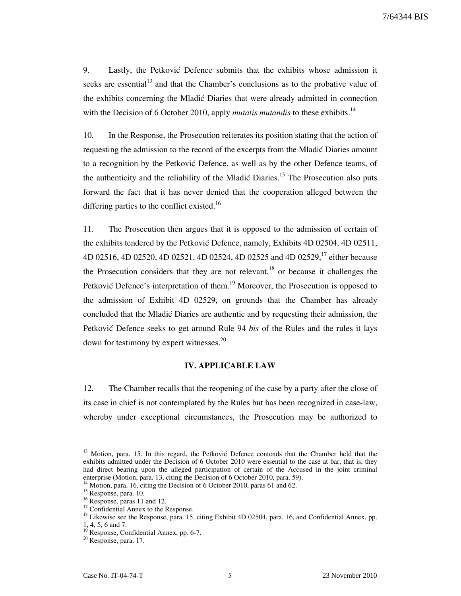9. Lastly, the Petković Defence submits that the exhibits whose admission it seeks are essential<sup>13</sup> and that the Chamber's conclusions as to the probative value of the exhibits concerning the Mladić Diaries that were already admitted in connection with the Decision of 6 October 2010, apply *mutatis mutandis* to these exhibits.<sup>14</sup>

10. In the Response, the Prosecution reiterates its position stating that the action of requesting the admission to the record of the excerpts from the Mladić Diaries amount to a recognition by the Petković Defence, as well as by the other Defence teams, of the authenticity and the reliability of the Mladić Diaries.<sup>15</sup> The Prosecution also puts forward the fact that it has never denied that the cooperation alleged between the differing parties to the conflict existed.<sup>16</sup>

11. The Prosecution then argues that it is opposed to the admission of certain of the exhibits tendered by the Petković Defence, namely, Exhibits 4D 02504, 4D 02511, 4D 02516, 4D 02520, 4D 02521, 4D 02524, 4D 02525 and 4D 02529,<sup>17</sup> either because the Prosecution considers that they are not relevant, $^{18}$  or because it challenges the Petković Defence's interpretation of them.<sup>19</sup> Moreover, the Prosecution is opposed to the admission of Exhibit 4D 02529, on grounds that the Chamber has already concluded that the Mladić Diaries are authentic and by requesting their admission, the Petković Defence seeks to get around Rule 94 bis of the Rules and the rules it lays down for testimony by expert witnesses.<sup>20</sup>

#### IV. APPLICABLE LAW

12. The Chamber recalls that the reopening of the case by a party after the close of its case in chief is not contemplated by the Rules but has been recognized in case-law, whereby under exceptional circumstances, the Prosecution may be authorized to

<sup>&</sup>lt;sup>13</sup> Motion, para. 15. In this regard, the Petković Defence contends that the Chamber held that the exhibits admitted under the Decision of 6 October 2010 were essential to the case at bar, that is, they had direct bearing upon the alleged participation of certain of the Accused in the joint criminal enterprise (Motion, para. 13, citing the Decision of 6 October 2010, para. 59).

<sup>&</sup>lt;sup>14</sup> Motion, para. 16, citing the Decision of 6 October 2010, paras 61 and 62.

 $^{15}$  Response, para. 10.

 $16$  Response, paras 11 and 12.

 $^{17}$  Confidential Annex to the Response.

<sup>&</sup>lt;sup>18</sup> Likewise see the Response, para. 15, citing Exhibit 4D 02504, para. 16, and Confidential Annex, pp. 1, 4, 5, 6 and 7.

<sup>&</sup>lt;sup>19</sup> Response, Confidential Annex, pp. 6-7.

<sup>20</sup> Response, para. 17.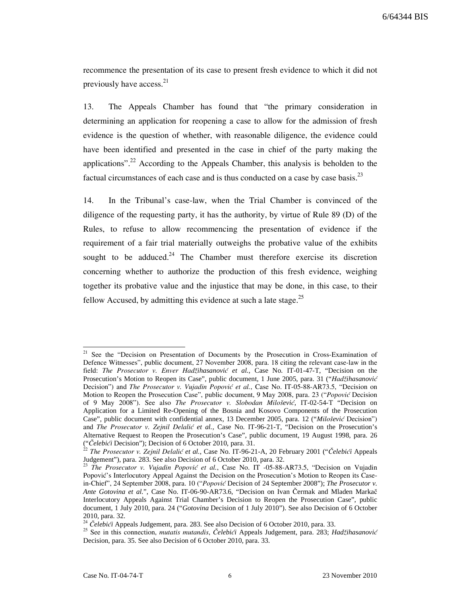recommence the presentation of its case to present fresh evidence to which it did not previously have access. $2<sup>1</sup>$ 

13. The Appeals Chamber has found that "the primary consideration in determining an application for reopening a case to allow for the admission of fresh evidence is the question of whether, with reasonable diligence, the evidence could have been identified and presented in the case in chief of the party making the applications".<sup>22</sup> According to the Appeals Chamber, this analysis is beholden to the factual circumstances of each case and is thus conducted on a case by case basis.<sup>23</sup>

14. In the Tribunal's case-law, when the Trial Chamber is convinced of the diligence of the requesting party, it has the authority, by virtue of Rule 89 (D) of the Rules, to refuse to allow recommencing the presentation of evidence if the requirement of a fair trial materially outweighs the probative value of the exhibits sought to be adduced.<sup>24</sup> The Chamber must therefore exercise its discretion concerning whether to authorize the production of this fresh evidence, weighing together its probative value and the injustice that may be done, in this case, to their fellow Accused, by admitting this evidence at such a late stage.<sup>25</sup>

<sup>21</sup> See the "Decision on Presentation of Documents by the Prosecution in Cross-Examination of Defence Witnesses", public document, 27 November 2008, para. 18 citing the relevant case-law in the field: The Prosecutor v. Enver Hadžihasanović et al., Case No. IT-01-47-T, "Decision on the Prosecution's Motion to Reopen its Case", public document, 1 June 2005, para. 31 ("Hadžihasanović Decision") and The Prosecutor v. Vujadin Popović et al., Case No. IT-05-88-AR73.5, "Decision on Motion to Reopen the Prosecution Case", public document, 9 May 2008, para. 23 ("Popović Decision of 9 May 2008"). See also The Prosecutor v. Slobodan Milošević, IT-02-54-T "Decision on Application for a Limited Re-Opening of the Bosnia and Kosovo Components of the Prosecution Case", public document with confidential annex, 13 December 2005, para. 12 ("Milošević Decision") and *The Prosecutor v. Zejnil Delalić et al.*, Case No. IT-96-21-T, "Decision on the Prosecution's Alternative Request to Reopen the Prosecution's Case", public document, 19 August 1998, para. 26 ("Celebići Decision"); Decision of 6 October 2010, para. 31.

<sup>&</sup>lt;sup>22</sup> The Prosecutor v. Zejnil Delalić et al., Case No. IT-96-21-A, 20 February 2001 ("Čelebići Appeals Judgement"), para. 283. See also Decision of 6 October 2010, para. 32.

<sup>&</sup>lt;sup>23</sup> The Prosecutor v. Vujadin Popović et al., Case No. IT -05-88-AR73.5, "Decision on Vujadin Popović's Interlocutory Appeal Against the Decision on the Prosecution's Motion to Reopen its Casein-Chief", 24 September 2008, para. 10 ("Popović Decision of 24 September 2008"); *The Prosecutor v. Ante Gotovina et al.*", Case No. IT-06-90-AR73.6, "Decision on Ivan Čermak and Mladen Markač Interlocutory Appeals Against Trial Chamber's Decision to Reopen the Prosecution Case", public document, 1 July 2010, para. 24 ("*Gotovina* Decision of 1 July 2010"). See also Decision of 6 October 2010, para. 32.

<sup>&</sup>lt;sup>24</sup> Čelebići Appeals Judgement, para. 283. See also Decision of 6 October 2010, para. 33.

<sup>&</sup>lt;sup>25</sup> See in this connection, *mutatis mutandis, Čelebići* Appeals Judgement, para. 283; *Hadžihasanović* Decision, para. 35. See also Decision of 6 October 2010, para. 33.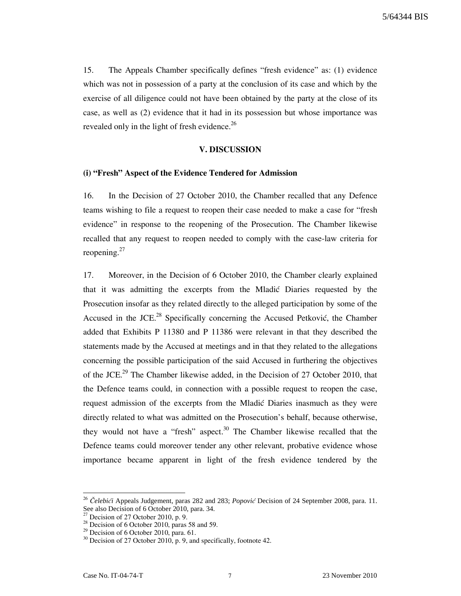15. The Appeals Chamber specifically defines "fresh evidence" as: (1) evidence which was not in possession of a party at the conclusion of its case and which by the exercise of all diligence could not have been obtained by the party at the close of its case, as well as (2) evidence that it had in its possession but whose importance was revealed only in the light of fresh evidence.<sup>26</sup>

### V. DISCUSSION

#### (i) "Fresh" Aspect of the Evidence Tendered for Admission

16. In the Decision of 27 October 2010, the Chamber recalled that any Defence teams wishing to file a request to reopen their case needed to make a case for "fresh evidence" in response to the reopening of the Prosecution. The Chamber likewise recalled that any request to reopen needed to comply with the case-law criteria for reopening. $27$ 

17. Moreover, in the Decision of 6 October 2010, the Chamber clearly explained that it was admitting the excerpts from the Mladić Diaries requested by the Prosecution insofar as they related directly to the alleged participation by some of the Accused in the JCE. $^{28}$  Specifically concerning the Accused Petković, the Chamber added that Exhibits P 11380 and P 11386 were relevant in that they described the statements made by the Accused at meetings and in that they related to the allegations concerning the possible participation of the said Accused in furthering the objectives of the JCE.<sup>29</sup> The Chamber likewise added, in the Decision of 27 October 2010, that the Defence teams could, in connection with a possible request to reopen the case, request admission of the excerpts from the Mladić Diaries inasmuch as they were directly related to what was admitted on the Prosecution's behalf, because otherwise, they would not have a "fresh" aspect.<sup>30</sup> The Chamber likewise recalled that the Defence teams could moreover tender any other relevant, probative evidence whose importance became apparent in light of the fresh evidence tendered by the

<sup>&</sup>lt;sup>26</sup> Čelebići Appeals Judgement, paras 282 and 283; *Popović* Decision of 24 September 2008, para. 11. See also Decision of 6 October 2010, para. 34.

 $27$  Decision of 27 October 2010, p. 9.

 $28$  Decision of 6 October 2010, paras 58 and 59.

 $29$  Decision of 6 October 2010, para. 61.

 $30$  Decision of 27 October 2010, p. 9, and specifically, footnote 42.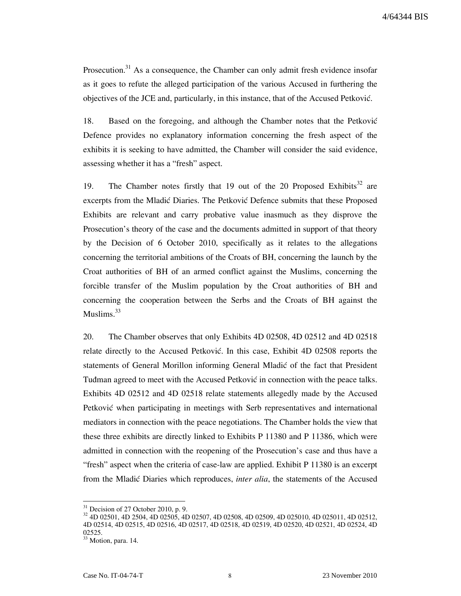Prosecution.<sup>31</sup> As a consequence, the Chamber can only admit fresh evidence insofar as it goes to refute the alleged participation of the various Accused in furthering the objectives of the JCE and, particularly, in this instance, that of the Accused Petković.

18. Based on the foregoing, and although the Chamber notes that the Petković Defence provides no explanatory information concerning the fresh aspect of the exhibits it is seeking to have admitted, the Chamber will consider the said evidence, assessing whether it has a "fresh" aspect.

19. The Chamber notes firstly that 19 out of the 20 Proposed Exhibits<sup>32</sup> are excerpts from the Mladic Diaries. The Petkovic Defence submits that these Proposed Exhibits are relevant and carry probative value inasmuch as they disprove the Prosecution's theory of the case and the documents admitted in support of that theory by the Decision of 6 October 2010, specifically as it relates to the allegations concerning the territorial ambitions of the Croats of BH, concerning the launch by the Croat authorities of BH of an armed conflict against the Muslims, concerning the forcible transfer of the Muslim population by the Croat authorities of BH and concerning the cooperation between the Serbs and the Croats of BH against the Muslims.<sup>33</sup>

20. The Chamber observes that only Exhibits 4D 02508, 4D 02512 and 4D 02518 relate directly to the Accused Petković. In this case, Exhibit 4D 02508 reports the statements of General Morillon informing General Mladić of the fact that President Tudman agreed to meet with the Accused Petković in connection with the peace talks. Exhibits 4D 02512 and 4D 02518 relate statements allegedly made by the Accused Petković when participating in meetings with Serb representatives and international mediators in connection with the peace negotiations. The Chamber holds the view that these three exhibits are directly linked to Exhibits P 11380 and P 11386, which were admitted in connection with the reopening of the Prosecution's case and thus have a "fresh" aspect when the criteria of case-law are applied. Exhibit P 11380 is an excerpt from the Mladić Diaries which reproduces, *inter alia*, the statements of the Accused

 $31$  Decision of 27 October 2010, p. 9.

<sup>32</sup> 4D 02501, 4D 2504, 4D 02505, 4D 02507, 4D 02508, 4D 02509, 4D 025010, 4D 025011, 4D 02512, 4D 02514, 4D 02515, 4D 02516, 4D 02517, 4D 02518, 4D 02519, 4D 02520, 4D 02521, 4D 02524, 4D 02525.

<sup>&</sup>lt;sup>33</sup> Motion, para. 14.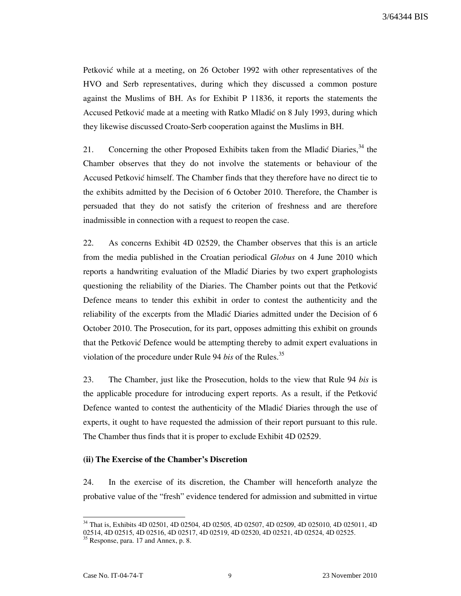Petković while at a meeting, on 26 October 1992 with other representatives of the HVO and Serb representatives, during which they discussed a common posture against the Muslims of BH. As for Exhibit P 11836, it reports the statements the Accused Petković made at a meeting with Ratko Mladić on 8 July 1993, during which they likewise discussed Croato-Serb cooperation against the Muslims in BH.

21. Concerning the other Proposed Exhibits taken from the Mladić Diaries,  $34$  the Chamber observes that they do not involve the statements or behaviour of the Accused Petković himself. The Chamber finds that they therefore have no direct tie to the exhibits admitted by the Decision of 6 October 2010. Therefore, the Chamber is persuaded that they do not satisfy the criterion of freshness and are therefore inadmissible in connection with a request to reopen the case.

22. As concerns Exhibit 4D 02529, the Chamber observes that this is an article from the media published in the Croatian periodical Globus on 4 June 2010 which reports a handwriting evaluation of the Mladić Diaries by two expert graphologists questioning the reliability of the Diaries. The Chamber points out that the Petković Defence means to tender this exhibit in order to contest the authenticity and the reliability of the excerpts from the Mladić Diaries admitted under the Decision of 6 October 2010. The Prosecution, for its part, opposes admitting this exhibit on grounds that the Petković Defence would be attempting thereby to admit expert evaluations in violation of the procedure under Rule 94 bis of the Rules. $^{35}$ 

23. The Chamber, just like the Prosecution, holds to the view that Rule 94 bis is the applicable procedure for introducing expert reports. As a result, if the Petković Defence wanted to contest the authenticity of the Mladić Diaries through the use of experts, it ought to have requested the admission of their report pursuant to this rule. The Chamber thus finds that it is proper to exclude Exhibit 4D 02529.

#### (ii) The Exercise of the Chamber's Discretion

24. In the exercise of its discretion, the Chamber will henceforth analyze the probative value of the "fresh" evidence tendered for admission and submitted in virtue

<sup>&</sup>lt;sup>34</sup> That is, Exhibits 4D 02501, 4D 02504, 4D 02505, 4D 02507, 4D 02509, 4D 025010, 4D 025011, 4D 02514, 4D 02515, 4D 02516, 4D 02517, 4D 02519, 4D 02520, 4D 02521, 4D 02524, 4D 02525.

<sup>&</sup>lt;sup>35</sup> Response, para. 17 and Annex, p. 8.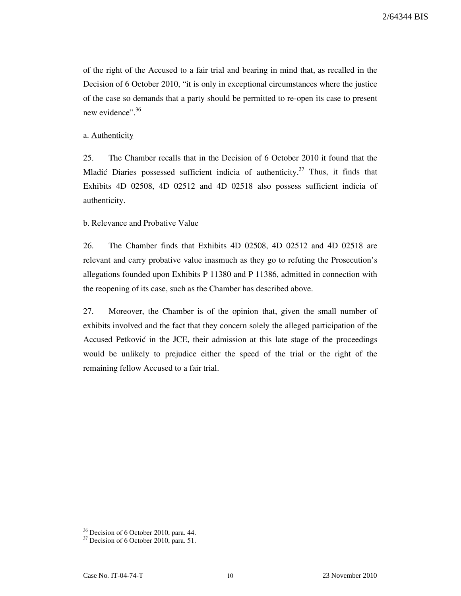of the right of the Accused to a fair trial and bearing in mind that, as recalled in the Decision of 6 October 2010, "it is only in exceptional circumstances where the justice of the case so demands that a party should be permitted to re-open its case to present new evidence".<sup>36</sup>

### a. Authenticity

25. The Chamber recalls that in the Decision of 6 October 2010 it found that the Mladić Diaries possessed sufficient indicia of authenticity.<sup>37</sup> Thus, it finds that Exhibits 4D 02508, 4D 02512 and 4D 02518 also possess sufficient indicia of authenticity.

### b. Relevance and Probative Value

26. The Chamber finds that Exhibits 4D 02508, 4D 02512 and 4D 02518 are relevant and carry probative value inasmuch as they go to refuting the Prosecution's allegations founded upon Exhibits P 11380 and P 11386, admitted in connection with the reopening of its case, such as the Chamber has described above.

27. Moreover, the Chamber is of the opinion that, given the small number of exhibits involved and the fact that they concern solely the alleged participation of the Accused Petković in the JCE, their admission at this late stage of the proceedings would be unlikely to prejudice either the speed of the trial or the right of the remaining fellow Accused to a fair trial.

<sup>&</sup>lt;sup>36</sup> Decision of 6 October 2010, para. 44.

<sup>&</sup>lt;sup>37</sup> Decision of 6 October 2010, para. 51.